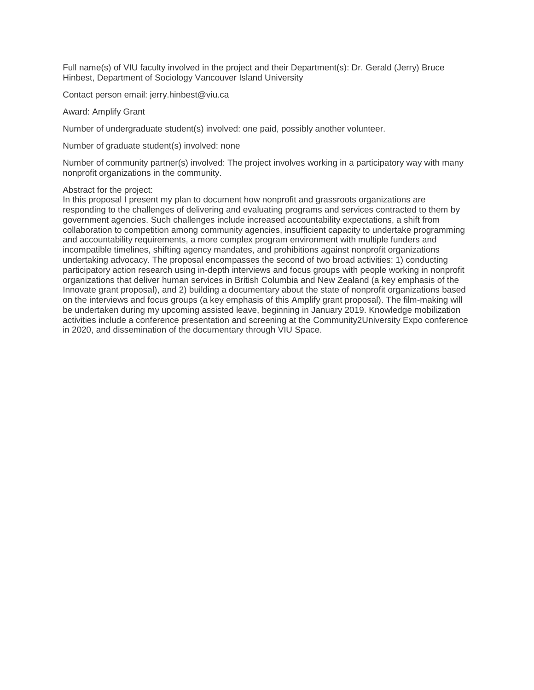Full name(s) of VIU faculty involved in the project and their Department(s): Dr. Gerald (Jerry) Bruce Hinbest, Department of Sociology Vancouver Island University

Contact person email: jerry.hinbest@viu.ca

#### Award: Amplify Grant

Number of undergraduate student(s) involved: one paid, possibly another volunteer.

Number of graduate student(s) involved: none

Number of community partner(s) involved: The project involves working in a participatory way with many nonprofit organizations in the community.

#### Abstract for the project:

In this proposal I present my plan to document how nonprofit and grassroots organizations are responding to the challenges of delivering and evaluating programs and services contracted to them by government agencies. Such challenges include increased accountability expectations, a shift from collaboration to competition among community agencies, insufficient capacity to undertake programming and accountability requirements, a more complex program environment with multiple funders and incompatible timelines, shifting agency mandates, and prohibitions against nonprofit organizations undertaking advocacy. The proposal encompasses the second of two broad activities: 1) conducting participatory action research using in-depth interviews and focus groups with people working in nonprofit organizations that deliver human services in British Columbia and New Zealand (a key emphasis of the Innovate grant proposal), and 2) building a documentary about the state of nonprofit organizations based on the interviews and focus groups (a key emphasis of this Amplify grant proposal). The film-making will be undertaken during my upcoming assisted leave, beginning in January 2019. Knowledge mobilization activities include a conference presentation and screening at the Community2University Expo conference in 2020, and dissemination of the documentary through VIU Space.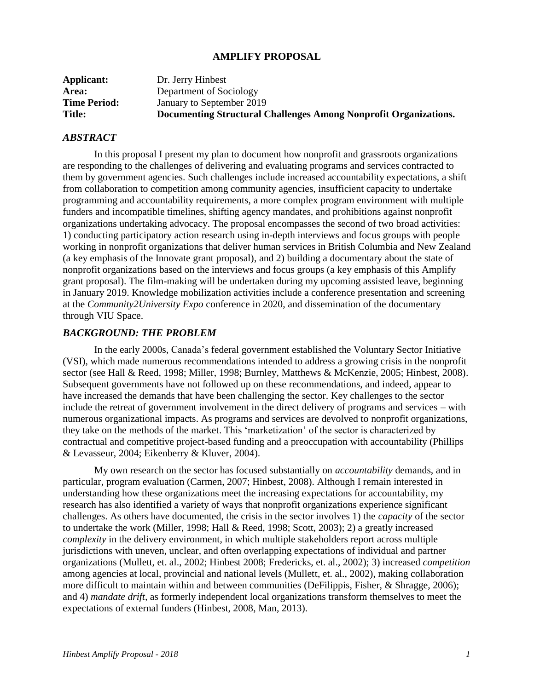## **AMPLIFY PROPOSAL**

| <b>Title:</b>       | Documenting Structural Challenges Among Nonprofit Organizations. |
|---------------------|------------------------------------------------------------------|
| <b>Time Period:</b> | January to September 2019                                        |
| Area:               | Department of Sociology                                          |
| <b>Applicant:</b>   | Dr. Jerry Hinbest                                                |

## *ABSTRACT*

In this proposal I present my plan to document how nonprofit and grassroots organizations are responding to the challenges of delivering and evaluating programs and services contracted to them by government agencies. Such challenges include increased accountability expectations, a shift from collaboration to competition among community agencies, insufficient capacity to undertake programming and accountability requirements, a more complex program environment with multiple funders and incompatible timelines, shifting agency mandates, and prohibitions against nonprofit organizations undertaking advocacy. The proposal encompasses the second of two broad activities: 1) conducting participatory action research using in-depth interviews and focus groups with people working in nonprofit organizations that deliver human services in British Columbia and New Zealand (a key emphasis of the Innovate grant proposal), and 2) building a documentary about the state of nonprofit organizations based on the interviews and focus groups (a key emphasis of this Amplify grant proposal). The film-making will be undertaken during my upcoming assisted leave, beginning in January 2019. Knowledge mobilization activities include a conference presentation and screening at the *Community2University Expo* conference in 2020, and dissemination of the documentary through VIU Space.

## *BACKGROUND: THE PROBLEM*

In the early 2000s, Canada's federal government established the Voluntary Sector Initiative (VSI), which made numerous recommendations intended to address a growing crisis in the nonprofit sector (see Hall & Reed, 1998; Miller, 1998; Burnley, Matthews & McKenzie, 2005; Hinbest, 2008). Subsequent governments have not followed up on these recommendations, and indeed, appear to have increased the demands that have been challenging the sector. Key challenges to the sector include the retreat of government involvement in the direct delivery of programs and services – with numerous organizational impacts. As programs and services are devolved to nonprofit organizations, they take on the methods of the market. This 'marketization' of the sector is characterized by contractual and competitive project-based funding and a preoccupation with accountability (Phillips & Levasseur, 2004; Eikenberry & Kluver, 2004).

My own research on the sector has focused substantially on *accountability* demands, and in particular, program evaluation (Carmen, 2007; Hinbest, 2008). Although I remain interested in understanding how these organizations meet the increasing expectations for accountability, my research has also identified a variety of ways that nonprofit organizations experience significant challenges. As others have documented, the crisis in the sector involves 1) the *capacity* of the sector to undertake the work (Miller, 1998; Hall & Reed, 1998; Scott, 2003); 2) a greatly increased *complexity* in the delivery environment, in which multiple stakeholders report across multiple jurisdictions with uneven, unclear, and often overlapping expectations of individual and partner organizations (Mullett, et. al., 2002; Hinbest 2008; Fredericks, et. al., 2002); 3) increased *competition* among agencies at local, provincial and national levels (Mullett, et. al., 2002), making collaboration more difficult to maintain within and between communities (DeFilippis, Fisher, & Shragge, 2006); and 4) *mandate drift,* as formerly independent local organizations transform themselves to meet the expectations of external funders (Hinbest, 2008, Man, 2013).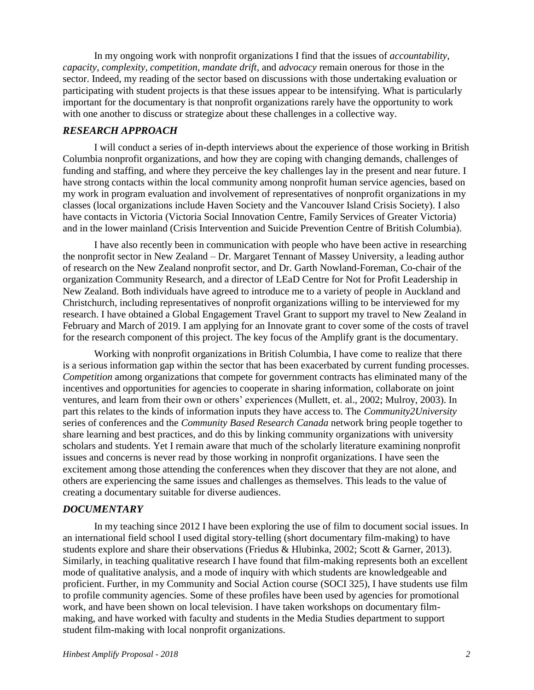In my ongoing work with nonprofit organizations I find that the issues of *accountability, capacity, complexity, competition, mandate drift,* and *advocacy* remain onerous for those in the sector. Indeed, my reading of the sector based on discussions with those undertaking evaluation or participating with student projects is that these issues appear to be intensifying. What is particularly important for the documentary is that nonprofit organizations rarely have the opportunity to work with one another to discuss or strategize about these challenges in a collective way.

## *RESEARCH APPROACH*

I will conduct a series of in-depth interviews about the experience of those working in British Columbia nonprofit organizations, and how they are coping with changing demands, challenges of funding and staffing, and where they perceive the key challenges lay in the present and near future. I have strong contacts within the local community among nonprofit human service agencies, based on my work in program evaluation and involvement of representatives of nonprofit organizations in my classes (local organizations include Haven Society and the Vancouver Island Crisis Society). I also have contacts in Victoria (Victoria Social Innovation Centre, Family Services of Greater Victoria) and in the lower mainland (Crisis Intervention and Suicide Prevention Centre of British Columbia).

I have also recently been in communication with people who have been active in researching the nonprofit sector in New Zealand – Dr. Margaret Tennant of Massey University, a leading author of research on the New Zealand nonprofit sector, and Dr. Garth Nowland-Foreman, Co-chair of the organization Community Research, and a director of LEaD Centre for Not for Profit Leadership in New Zealand. Both individuals have agreed to introduce me to a variety of people in Auckland and Christchurch, including representatives of nonprofit organizations willing to be interviewed for my research. I have obtained a Global Engagement Travel Grant to support my travel to New Zealand in February and March of 2019. I am applying for an Innovate grant to cover some of the costs of travel for the research component of this project. The key focus of the Amplify grant is the documentary.

Working with nonprofit organizations in British Columbia, I have come to realize that there is a serious information gap within the sector that has been exacerbated by current funding processes. *Competition* among organizations that compete for government contracts has eliminated many of the incentives and opportunities for agencies to cooperate in sharing information, collaborate on joint ventures, and learn from their own or others' experiences (Mullett, et. al., 2002; Mulroy, 2003). In part this relates to the kinds of information inputs they have access to. The *Community2University* series of conferences and the *Community Based Research Canada* network bring people together to share learning and best practices, and do this by linking community organizations with university scholars and students. Yet I remain aware that much of the scholarly literature examining nonprofit issues and concerns is never read by those working in nonprofit organizations. I have seen the excitement among those attending the conferences when they discover that they are not alone, and others are experiencing the same issues and challenges as themselves. This leads to the value of creating a documentary suitable for diverse audiences.

## *DOCUMENTARY*

In my teaching since 2012 I have been exploring the use of film to document social issues. In an international field school I used digital story-telling (short documentary film-making) to have students explore and share their observations (Friedus & Hlubinka, 2002; Scott & Garner, 2013). Similarly, in teaching qualitative research I have found that film-making represents both an excellent mode of qualitative analysis, and a mode of inquiry with which students are knowledgeable and proficient. Further, in my Community and Social Action course (SOCI 325), I have students use film to profile community agencies. Some of these profiles have been used by agencies for promotional work, and have been shown on local television. I have taken workshops on documentary filmmaking, and have worked with faculty and students in the Media Studies department to support student film-making with local nonprofit organizations.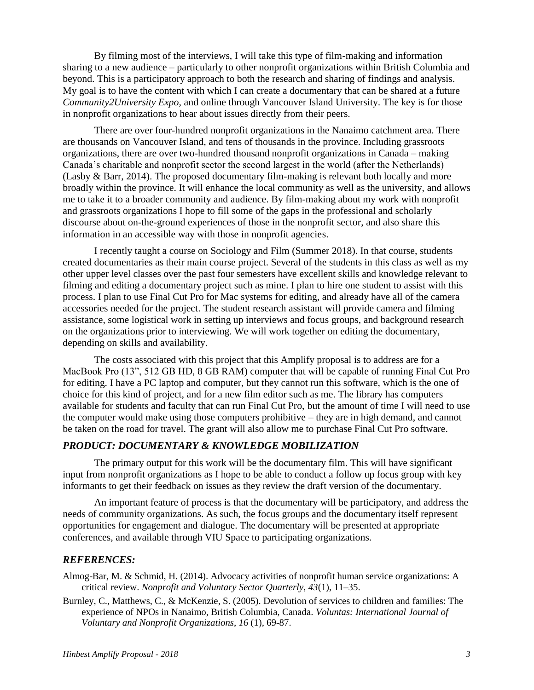By filming most of the interviews, I will take this type of film-making and information sharing to a new audience – particularly to other nonprofit organizations within British Columbia and beyond. This is a participatory approach to both the research and sharing of findings and analysis. My goal is to have the content with which I can create a documentary that can be shared at a future *Community2University Expo*, and online through Vancouver Island University. The key is for those in nonprofit organizations to hear about issues directly from their peers.

There are over four-hundred nonprofit organizations in the Nanaimo catchment area. There are thousands on Vancouver Island, and tens of thousands in the province. Including grassroots organizations, there are over two-hundred thousand nonprofit organizations in Canada – making Canada's charitable and nonprofit sector the second largest in the world (after the Netherlands) (Lasby & Barr, 2014). The proposed documentary film-making is relevant both locally and more broadly within the province. It will enhance the local community as well as the university, and allows me to take it to a broader community and audience. By film-making about my work with nonprofit and grassroots organizations I hope to fill some of the gaps in the professional and scholarly discourse about on-the-ground experiences of those in the nonprofit sector, and also share this information in an accessible way with those in nonprofit agencies.

I recently taught a course on Sociology and Film (Summer 2018). In that course, students created documentaries as their main course project. Several of the students in this class as well as my other upper level classes over the past four semesters have excellent skills and knowledge relevant to filming and editing a documentary project such as mine. I plan to hire one student to assist with this process. I plan to use Final Cut Pro for Mac systems for editing, and already have all of the camera accessories needed for the project. The student research assistant will provide camera and filming assistance, some logistical work in setting up interviews and focus groups, and background research on the organizations prior to interviewing. We will work together on editing the documentary, depending on skills and availability.

The costs associated with this project that this Amplify proposal is to address are for a MacBook Pro (13", 512 GB HD, 8 GB RAM) computer that will be capable of running Final Cut Pro for editing. I have a PC laptop and computer, but they cannot run this software, which is the one of choice for this kind of project, and for a new film editor such as me. The library has computers available for students and faculty that can run Final Cut Pro, but the amount of time I will need to use the computer would make using those computers prohibitive – they are in high demand, and cannot be taken on the road for travel. The grant will also allow me to purchase Final Cut Pro software.

## *PRODUCT: DOCUMENTARY & KNOWLEDGE MOBILIZATION*

The primary output for this work will be the documentary film. This will have significant input from nonprofit organizations as I hope to be able to conduct a follow up focus group with key informants to get their feedback on issues as they review the draft version of the documentary.

An important feature of process is that the documentary will be participatory, and address the needs of community organizations. As such, the focus groups and the documentary itself represent opportunities for engagement and dialogue. The documentary will be presented at appropriate conferences, and available through VIU Space to participating organizations.

## *REFERENCES:*

Almog-Bar, M. & Schmid, H. (2014). Advocacy activities of nonprofit human service organizations: A critical review. *Nonprofit and Voluntary Sector Quarterly, 43*(1), 11–35.

Burnley, C., Matthews, C., & McKenzie, S. (2005). Devolution of services to children and families: The experience of NPOs in Nanaimo, British Columbia, Canada. *Voluntas: International Journal of Voluntary and Nonprofit Organizations*, *16* (1), 69-87.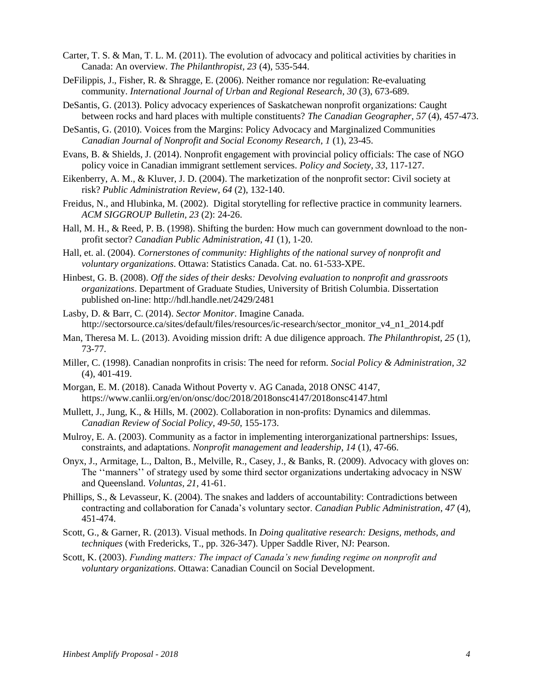- Carter, T. S. & Man, T. L. M. (2011). The evolution of advocacy and political activities by charities in Canada: An overview. *The Philanthropist, 23* (4), 535-544.
- DeFilippis, J., Fisher, R. & Shragge, E. (2006). Neither romance nor regulation: Re-evaluating community. *International Journal of Urban and Regional Research*, *30* (3), 673-689.
- DeSantis, G. (2013). Policy advocacy experiences of Saskatchewan nonprofit organizations: Caught between rocks and hard places with multiple constituents? *The Canadian Geographer, 57* (4), 457-473.
- DeSantis, G. (2010). Voices from the Margins: Policy Advocacy and Marginalized Communities *Canadian Journal of Nonprofit and Social Economy Research, 1* (1), 23-45.
- Evans, B. & Shields, J. (2014). Nonprofit engagement with provincial policy officials: The case of NGO policy voice in Canadian immigrant settlement services. *Policy and Society, 33*, 117-127.
- Eikenberry, A. M., & Kluver, J. D. (2004). The marketization of the nonprofit sector: Civil society at risk? *Public Administration Review*, *64* (2), 132-140.
- Freidus, N., and Hlubinka, M. (2002). Digital storytelling for reflective practice in community learners. *ACM SIGGROUP Bulletin, 23* (2): 24-26.
- Hall, M. H., & Reed, P. B. (1998). Shifting the burden: How much can government download to the nonprofit sector? *Canadian Public Administration*, *41* (1), 1-20.
- Hall, et. al. (2004). *Cornerstones of community: Highlights of the national survey of nonprofit and voluntary organizations*. Ottawa: Statistics Canada. Cat. no. 61-533-XPE.
- Hinbest, G. B. (2008). *Off the sides of their desks: Devolving evaluation to nonprofit and grassroots organizations*. Department of Graduate Studies, University of British Columbia. Dissertation published on-line: http://hdl.handle.net/2429/2481
- Lasby, D. & Barr, C. (2014). *Sector Monitor*. Imagine Canada. http://sectorsource.ca/sites/default/files/resources/ic-research/sector\_monitor\_v4\_n1\_2014.pdf
- Man, Theresa M. L. (2013). Avoiding mission drift: A due diligence approach. *The Philanthropist, 25* (1), 73-77.
- Miller, C. (1998). Canadian nonprofits in crisis: The need for reform. *Social Policy & Administration*, *32* (4), 401-419.
- Morgan, E. M. (2018). Canada Without Poverty v. AG Canada, 2018 ONSC 4147, https://www.canlii.org/en/on/onsc/doc/2018/2018onsc4147/2018onsc4147.html
- Mullett, J., Jung, K., & Hills, M. (2002). Collaboration in non-profits: Dynamics and dilemmas. *Canadian Review of Social Policy*, *49-50*, 155-173.
- Mulroy, E. A. (2003). Community as a factor in implementing interorganizational partnerships: Issues, constraints, and adaptations. *Nonprofit management and leadership*, *14* (1), 47-66.
- Onyx, J., Armitage, L., Dalton, B., Melville, R., Casey, J., & Banks, R. (2009). Advocacy with gloves on: The ''manners'' of strategy used by some third sector organizations undertaking advocacy in NSW and Queensland. *Voluntas, 21*, 41-61.
- Phillips, S., & Levasseur, K. (2004). The snakes and ladders of accountability: Contradictions between contracting and collaboration for Canada's voluntary sector. *Canadian Public Administration*, *47* (4), 451-474.
- Scott, G., & Garner, R. (2013). Visual methods. In *Doing qualitative research: Designs, methods, and techniques* (with Fredericks, T., pp. 326-347). Upper Saddle River, NJ: Pearson.
- Scott, K. (2003). *Funding matters: The impact of Canada's new funding regime on nonprofit and voluntary organizations*. Ottawa: Canadian Council on Social Development.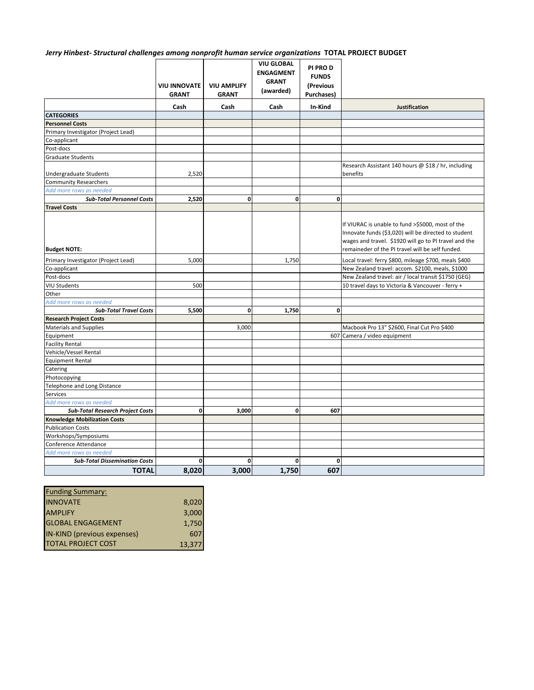#### *Jerry Hinbest- Structural challenges among nonprofit human service organizations* **TOTAL PROJECT BUDGET**

|                                         |                                     |                                    | <b>VIU GLOBAL</b><br><b>ENGAGMENT</b> | PI PRO D<br><b>FUNDS</b>        |                                                                                                                                                                                                                       |
|-----------------------------------------|-------------------------------------|------------------------------------|---------------------------------------|---------------------------------|-----------------------------------------------------------------------------------------------------------------------------------------------------------------------------------------------------------------------|
|                                         | <b>VIU INNOVATE</b><br><b>GRANT</b> | <b>VIU AMPLIFY</b><br><b>GRANT</b> | <b>GRANT</b><br>(awarded)             | (Previous<br><b>Purchases</b> ) |                                                                                                                                                                                                                       |
|                                         | Cash                                | Cash                               | Cash                                  | In-Kind                         | Justification                                                                                                                                                                                                         |
| <b>CATEGORIES</b>                       |                                     |                                    |                                       |                                 |                                                                                                                                                                                                                       |
| <b>Personnel Costs</b>                  |                                     |                                    |                                       |                                 |                                                                                                                                                                                                                       |
| Primary Investigator (Project Lead)     |                                     |                                    |                                       |                                 |                                                                                                                                                                                                                       |
| Co-applicant                            |                                     |                                    |                                       |                                 |                                                                                                                                                                                                                       |
| Post-docs                               |                                     |                                    |                                       |                                 |                                                                                                                                                                                                                       |
| <b>Graduate Students</b>                |                                     |                                    |                                       |                                 |                                                                                                                                                                                                                       |
|                                         |                                     |                                    |                                       |                                 | Research Assistant 140 hours @ \$18 / hr, including                                                                                                                                                                   |
| Undergraduate Students                  | 2,520                               |                                    |                                       |                                 | benefits                                                                                                                                                                                                              |
| <b>Community Researchers</b>            |                                     |                                    |                                       |                                 |                                                                                                                                                                                                                       |
| Add more rows as needed                 |                                     |                                    |                                       |                                 |                                                                                                                                                                                                                       |
| <b>Sub-Total Personnel Costs</b>        | 2,520                               | $\mathbf{0}$                       | $\mathbf{0}$                          | 0                               |                                                                                                                                                                                                                       |
| <b>Travel Costs</b>                     |                                     |                                    |                                       |                                 |                                                                                                                                                                                                                       |
| <b>Budget NOTE:</b>                     |                                     |                                    |                                       |                                 | If VIURAC is unable to fund >\$5000, most of the<br>Innovate funds (\$3,020) will be directed to student<br>wages and travel. \$1920 will go to PI travel and the<br>remaineder of the PI travel will be self funded. |
| Primary Investigator (Project Lead)     | 5,000                               |                                    | 1,750                                 |                                 | Local travel: ferry \$800, mileage \$700, meals \$400                                                                                                                                                                 |
| Co-applicant                            |                                     |                                    |                                       |                                 | New Zealand travel: accom. \$2100, meals, \$1000                                                                                                                                                                      |
| Post-docs                               |                                     |                                    |                                       |                                 | New Zealand travel: air / local transit \$1750 (GEG)                                                                                                                                                                  |
| <b>VIU Students</b>                     | 500                                 |                                    |                                       |                                 | 10 travel days to Victoria & Vancouver - ferry +                                                                                                                                                                      |
| Other                                   |                                     |                                    |                                       |                                 |                                                                                                                                                                                                                       |
| Add more rows as needed                 |                                     |                                    |                                       |                                 |                                                                                                                                                                                                                       |
| <b>Sub-Total Travel Costs</b>           | 5,500                               | $\mathbf{0}$                       | 1,750                                 | $\mathbf 0$                     |                                                                                                                                                                                                                       |
| <b>Research Project Costs</b>           |                                     |                                    |                                       |                                 |                                                                                                                                                                                                                       |
| <b>Materials and Supplies</b>           |                                     | 3,000                              |                                       |                                 | Macbook Pro 13" \$2600, Final Cut Pro \$400                                                                                                                                                                           |
| Equipment                               |                                     |                                    |                                       |                                 | 607 Camera / video equipment                                                                                                                                                                                          |
| <b>Facility Rental</b>                  |                                     |                                    |                                       |                                 |                                                                                                                                                                                                                       |
| Vehicle/Vessel Rental                   |                                     |                                    |                                       |                                 |                                                                                                                                                                                                                       |
| <b>Equipment Rental</b>                 |                                     |                                    |                                       |                                 |                                                                                                                                                                                                                       |
| Catering                                |                                     |                                    |                                       |                                 |                                                                                                                                                                                                                       |
| Photocopying                            |                                     |                                    |                                       |                                 |                                                                                                                                                                                                                       |
| Telephone and Long Distance             |                                     |                                    |                                       |                                 |                                                                                                                                                                                                                       |
| Services                                |                                     |                                    |                                       |                                 |                                                                                                                                                                                                                       |
| Add more rows as needed                 |                                     |                                    |                                       |                                 |                                                                                                                                                                                                                       |
| <b>Sub-Total Research Project Costs</b> | 0                                   | 3,000                              | $\mathbf{0}$                          | 607                             |                                                                                                                                                                                                                       |
| <b>Knowledge Mobilization Costs</b>     |                                     |                                    |                                       |                                 |                                                                                                                                                                                                                       |
| <b>Publication Costs</b>                |                                     |                                    |                                       |                                 |                                                                                                                                                                                                                       |
| Workshops/Symposiums                    |                                     |                                    |                                       |                                 |                                                                                                                                                                                                                       |
| Conference Attendance                   |                                     |                                    |                                       |                                 |                                                                                                                                                                                                                       |
| Add more rows as needed                 |                                     |                                    |                                       |                                 |                                                                                                                                                                                                                       |
| <b>Sub-Total Dissemination Costs</b>    | 0                                   | $\mathbf{0}$                       | 0                                     | 0                               |                                                                                                                                                                                                                       |
| <b>TOTAL</b>                            | 8,020                               | 3,000                              | 1,750                                 | 607                             |                                                                                                                                                                                                                       |

| <b>Funding Summary:</b>     |        |
|-----------------------------|--------|
| <b>INNOVATE</b>             | 8,020  |
| <b>AMPLIFY</b>              | 3,000  |
| <b>GLOBAL ENGAGEMENT</b>    | 1,750  |
| IN-KIND (previous expenses) | 607    |
| <b>TOTAL PROJECT COST</b>   | 13,377 |